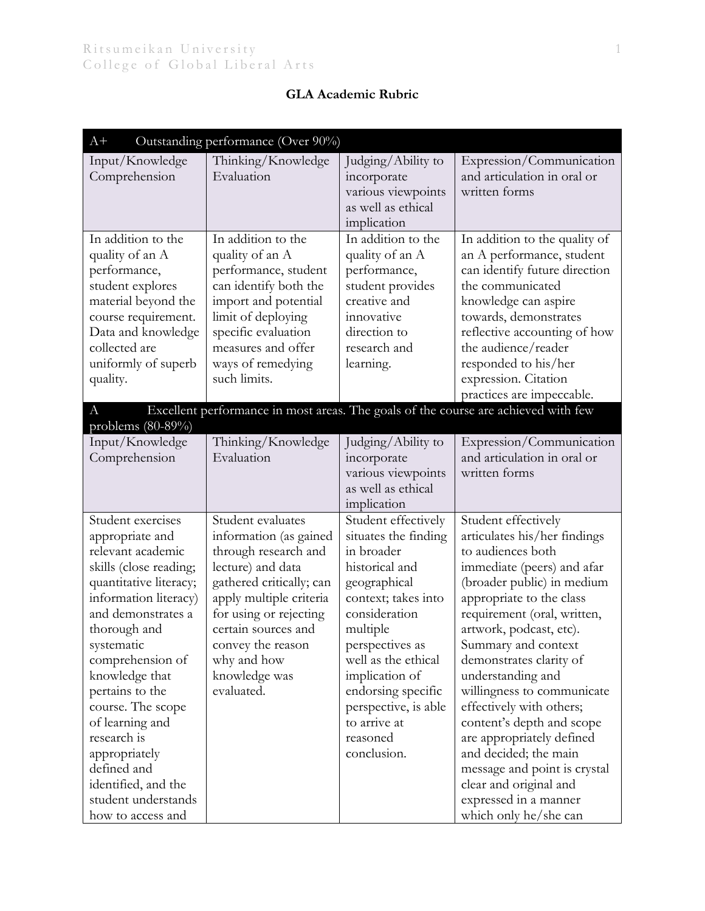## **GLA Academic Rubric**

| $A+$                                                                                                                                                                                                                                                                                                                                                                                                          | Outstanding performance (Over 90%)                                                                                                                                                                                                                                  |                                                                                                                                                                                                                                                                                                      |                                                                                                                                                                                                                                                                                                                                                                                                                                                                                                                                                            |
|---------------------------------------------------------------------------------------------------------------------------------------------------------------------------------------------------------------------------------------------------------------------------------------------------------------------------------------------------------------------------------------------------------------|---------------------------------------------------------------------------------------------------------------------------------------------------------------------------------------------------------------------------------------------------------------------|------------------------------------------------------------------------------------------------------------------------------------------------------------------------------------------------------------------------------------------------------------------------------------------------------|------------------------------------------------------------------------------------------------------------------------------------------------------------------------------------------------------------------------------------------------------------------------------------------------------------------------------------------------------------------------------------------------------------------------------------------------------------------------------------------------------------------------------------------------------------|
| Input/Knowledge<br>Comprehension                                                                                                                                                                                                                                                                                                                                                                              | Thinking/Knowledge<br>Evaluation                                                                                                                                                                                                                                    | Judging/Ability to<br>incorporate<br>various viewpoints                                                                                                                                                                                                                                              | Expression/Communication<br>and articulation in oral or<br>written forms                                                                                                                                                                                                                                                                                                                                                                                                                                                                                   |
|                                                                                                                                                                                                                                                                                                                                                                                                               |                                                                                                                                                                                                                                                                     | as well as ethical<br>implication                                                                                                                                                                                                                                                                    |                                                                                                                                                                                                                                                                                                                                                                                                                                                                                                                                                            |
| In addition to the<br>quality of an A<br>performance,<br>student explores<br>material beyond the<br>course requirement.<br>Data and knowledge<br>collected are<br>uniformly of superb<br>quality.                                                                                                                                                                                                             | In addition to the<br>quality of an A<br>performance, student<br>can identify both the<br>import and potential<br>limit of deploying<br>specific evaluation<br>measures and offer<br>ways of remedying<br>such limits.                                              | In addition to the<br>quality of an A<br>performance,<br>student provides<br>creative and<br>innovative<br>direction to<br>research and<br>learning.                                                                                                                                                 | In addition to the quality of<br>an A performance, student<br>can identify future direction<br>the communicated<br>knowledge can aspire<br>towards, demonstrates<br>reflective accounting of how<br>the audience/reader<br>responded to his/her<br>expression. Citation<br>practices are impeccable.                                                                                                                                                                                                                                                       |
| А<br>problems $(80-89%)$                                                                                                                                                                                                                                                                                                                                                                                      |                                                                                                                                                                                                                                                                     |                                                                                                                                                                                                                                                                                                      | Excellent performance in most areas. The goals of the course are achieved with few                                                                                                                                                                                                                                                                                                                                                                                                                                                                         |
| Input/Knowledge<br>Comprehension                                                                                                                                                                                                                                                                                                                                                                              | Thinking/Knowledge<br>Evaluation                                                                                                                                                                                                                                    | Judging/Ability to<br>incorporate<br>various viewpoints<br>as well as ethical<br>implication                                                                                                                                                                                                         | Expression/Communication<br>and articulation in oral or<br>written forms                                                                                                                                                                                                                                                                                                                                                                                                                                                                                   |
| Student exercises<br>appropriate and<br>relevant academic<br>skills (close reading;<br>quantitative literacy;<br>information literacy)<br>and demonstrates a<br>thorough and<br>systematic<br>comprehension of<br>knowledge that<br>pertains to the<br>course. The scope<br>of learning and<br>research is<br>appropriately<br>defined and<br>identified, and the<br>student understands<br>how to access and | Student evaluates<br>information (as gained<br>through research and<br>lecture) and data<br>gathered critically; can<br>apply multiple criteria<br>for using or rejecting<br>certain sources and<br>convey the reason<br>why and how<br>knowledge was<br>evaluated. | Student effectively<br>situates the finding<br>in broader<br>historical and<br>geographical<br>context; takes into<br>consideration<br>multiple<br>perspectives as<br>well as the ethical<br>implication of<br>endorsing specific<br>perspective, is able<br>to arrive at<br>reasoned<br>conclusion. | Student effectively<br>articulates his/her findings<br>to audiences both<br>immediate (peers) and afar<br>(broader public) in medium<br>appropriate to the class<br>requirement (oral, written,<br>artwork, podcast, etc).<br>Summary and context<br>demonstrates clarity of<br>understanding and<br>willingness to communicate<br>effectively with others;<br>content's depth and scope<br>are appropriately defined<br>and decided; the main<br>message and point is crystal<br>clear and original and<br>expressed in a manner<br>which only he/she can |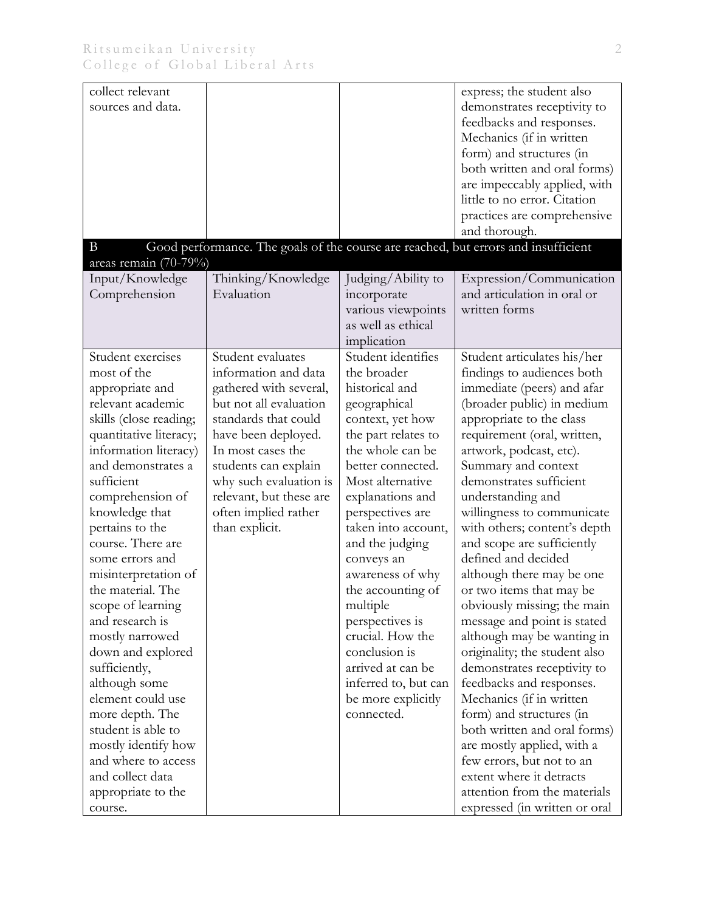| sources and data.<br>demonstrates receptivity to<br>feedbacks and responses.                                       |  |
|--------------------------------------------------------------------------------------------------------------------|--|
|                                                                                                                    |  |
|                                                                                                                    |  |
| Mechanics (if in written                                                                                           |  |
| form) and structures (in                                                                                           |  |
| both written and oral forms)                                                                                       |  |
| are impeccably applied, with                                                                                       |  |
| little to no error. Citation                                                                                       |  |
| practices are comprehensive                                                                                        |  |
| and thorough.                                                                                                      |  |
| Good performance. The goals of the course are reached, but errors and insufficient<br>B<br>areas remain $(70-79%)$ |  |
| Input/Knowledge<br>Thinking/Knowledge<br>Judging/Ability to<br>Expression/Communication                            |  |
| Evaluation<br>and articulation in oral or<br>Comprehension<br>incorporate                                          |  |
| various viewpoints<br>written forms                                                                                |  |
| as well as ethical                                                                                                 |  |
| implication                                                                                                        |  |
| Student identifies<br>Student exercises<br>Student evaluates<br>Student articulates his/her                        |  |
| most of the<br>information and data<br>the broader<br>findings to audiences both                                   |  |
| gathered with several,<br>historical and<br>immediate (peers) and afar<br>appropriate and                          |  |
| relevant academic<br>but not all evaluation<br>(broader public) in medium<br>geographical                          |  |
| standards that could<br>appropriate to the class<br>skills (close reading;<br>context, yet how                     |  |
| quantitative literacy;<br>have been deployed.<br>the part relates to<br>requirement (oral, written,                |  |
| the whole can be<br>information literacy)<br>In most cases the<br>artwork, podcast, etc).                          |  |
| and demonstrates a<br>students can explain<br>better connected.<br>Summary and context                             |  |
| sufficient<br>why such evaluation is<br>Most alternative<br>demonstrates sufficient                                |  |
| relevant, but these are<br>explanations and<br>understanding and<br>comprehension of                               |  |
| knowledge that<br>often implied rather<br>perspectives are<br>willingness to communicate                           |  |
| pertains to the<br>than explicit.<br>taken into account,<br>with others; content's depth                           |  |
| course. There are<br>and scope are sufficiently<br>and the judging<br>defined and decided                          |  |
| some errors and<br>conveys an                                                                                      |  |
| misinterpretation of<br>awareness of why<br>although there may be one<br>the material. The<br>the accounting of    |  |
| or two items that may be<br>obviously missing; the main<br>scope of learning                                       |  |
| multiple<br>and research is<br>perspectives is<br>message and point is stated                                      |  |
| crucial. How the<br>although may be wanting in<br>mostly narrowed                                                  |  |
| conclusion is<br>down and explored<br>originality; the student also                                                |  |
| arrived at can be<br>sufficiently,<br>demonstrates receptivity to                                                  |  |
| inferred to, but can<br>although some<br>feedbacks and responses.                                                  |  |
| element could use<br>Mechanics (if in written<br>be more explicitly                                                |  |
| more depth. The<br>form) and structures (in<br>connected.                                                          |  |
| student is able to<br>both written and oral forms)                                                                 |  |
| mostly identify how<br>are mostly applied, with a                                                                  |  |
| and where to access<br>few errors, but not to an                                                                   |  |
| and collect data<br>extent where it detracts                                                                       |  |
| attention from the materials<br>appropriate to the                                                                 |  |
| expressed (in written or oral<br>course.                                                                           |  |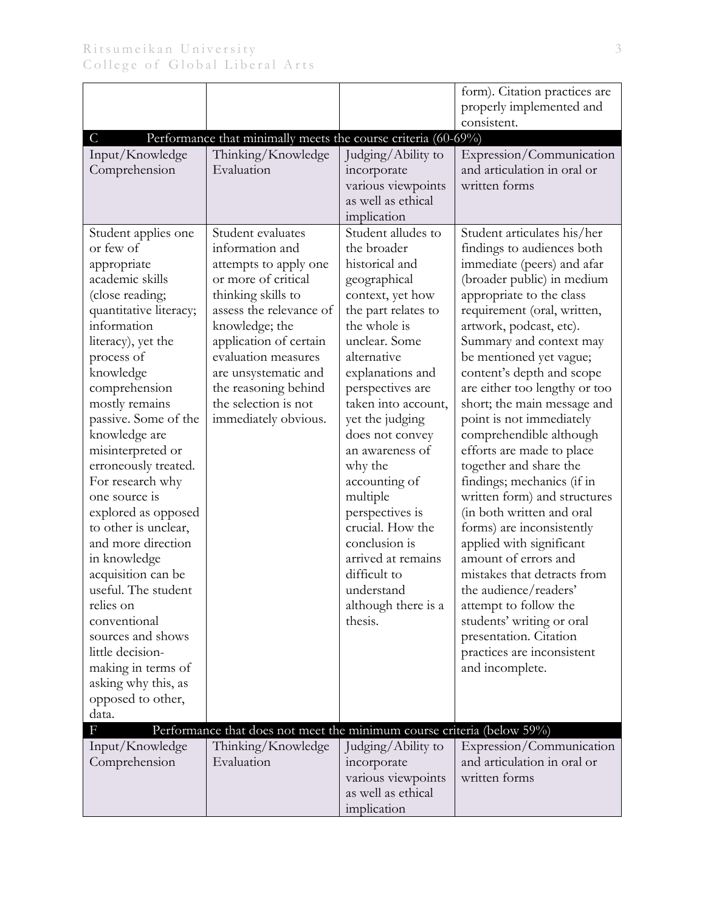|                                            |                                                                        |                                     | form). Citation practices are                       |
|--------------------------------------------|------------------------------------------------------------------------|-------------------------------------|-----------------------------------------------------|
|                                            |                                                                        |                                     | properly implemented and                            |
|                                            |                                                                        |                                     | consistent.                                         |
| $\mathcal{C}$                              | Performance that minimally meets the course criteria (60-69%)          |                                     |                                                     |
| Input/Knowledge                            | Thinking/Knowledge                                                     | Judging/Ability to                  | Expression/Communication                            |
| Comprehension                              | Evaluation                                                             | incorporate                         | and articulation in oral or                         |
|                                            |                                                                        | various viewpoints                  | written forms                                       |
|                                            |                                                                        | as well as ethical                  |                                                     |
|                                            |                                                                        | implication                         |                                                     |
| Student applies one                        | Student evaluates                                                      | Student alludes to                  | Student articulates his/her                         |
| or few of                                  | information and                                                        | the broader                         | findings to audiences both                          |
| appropriate                                | attempts to apply one                                                  | historical and                      | immediate (peers) and afar                          |
| academic skills                            | or more of critical                                                    | geographical                        | (broader public) in medium                          |
| (close reading;                            | thinking skills to                                                     | context, yet how                    | appropriate to the class                            |
| quantitative literacy;                     | assess the relevance of                                                | the part relates to                 | requirement (oral, written,                         |
| information                                | knowledge; the                                                         | the whole is                        | artwork, podcast, etc).                             |
| literacy), yet the                         | application of certain                                                 | unclear. Some                       | Summary and context may                             |
| process of                                 | evaluation measures                                                    | alternative                         | be mentioned yet vague;                             |
| knowledge                                  | are unsystematic and                                                   | explanations and                    | content's depth and scope                           |
| comprehension                              | the reasoning behind                                                   | perspectives are                    | are either too lengthy or too                       |
| mostly remains                             | the selection is not                                                   | taken into account,                 | short; the main message and                         |
| passive. Some of the                       | immediately obvious.                                                   | yet the judging                     | point is not immediately                            |
| knowledge are                              |                                                                        | does not convey                     | comprehendible although                             |
| misinterpreted or                          |                                                                        | an awareness of                     | efforts are made to place                           |
| erroneously treated.                       |                                                                        | why the                             | together and share the                              |
| For research why                           |                                                                        | accounting of                       | findings; mechanics (if in                          |
| one source is                              |                                                                        | multiple                            | written form) and structures                        |
| explored as opposed                        |                                                                        | perspectives is<br>crucial. How the | (in both written and oral                           |
| to other is unclear,<br>and more direction |                                                                        | conclusion is                       | forms) are inconsistently                           |
|                                            |                                                                        | arrived at remains                  | applied with significant<br>amount of errors and    |
| in knowledge                               |                                                                        | difficult to                        | mistakes that detracts from                         |
| acquisition can be<br>useful. The student  |                                                                        | understand                          | the audience/readers'                               |
|                                            |                                                                        |                                     |                                                     |
| relies on<br>conventional                  |                                                                        | although there is a<br>thesis.      | attempt to follow the                               |
| sources and shows                          |                                                                        |                                     | students' writing or oral<br>presentation. Citation |
| little decision-                           |                                                                        |                                     | practices are inconsistent                          |
| making in terms of                         |                                                                        |                                     | and incomplete.                                     |
| asking why this, as                        |                                                                        |                                     |                                                     |
| opposed to other,                          |                                                                        |                                     |                                                     |
| data.                                      |                                                                        |                                     |                                                     |
| F                                          | Performance that does not meet the minimum course criteria (below 59%) |                                     |                                                     |
| Input/Knowledge                            | Thinking/Knowledge                                                     | Judging/Ability to                  | Expression/Communication                            |
| Comprehension                              | Evaluation                                                             | incorporate                         | and articulation in oral or                         |
|                                            |                                                                        | various viewpoints                  | written forms                                       |
|                                            |                                                                        | as well as ethical                  |                                                     |
|                                            |                                                                        | implication                         |                                                     |